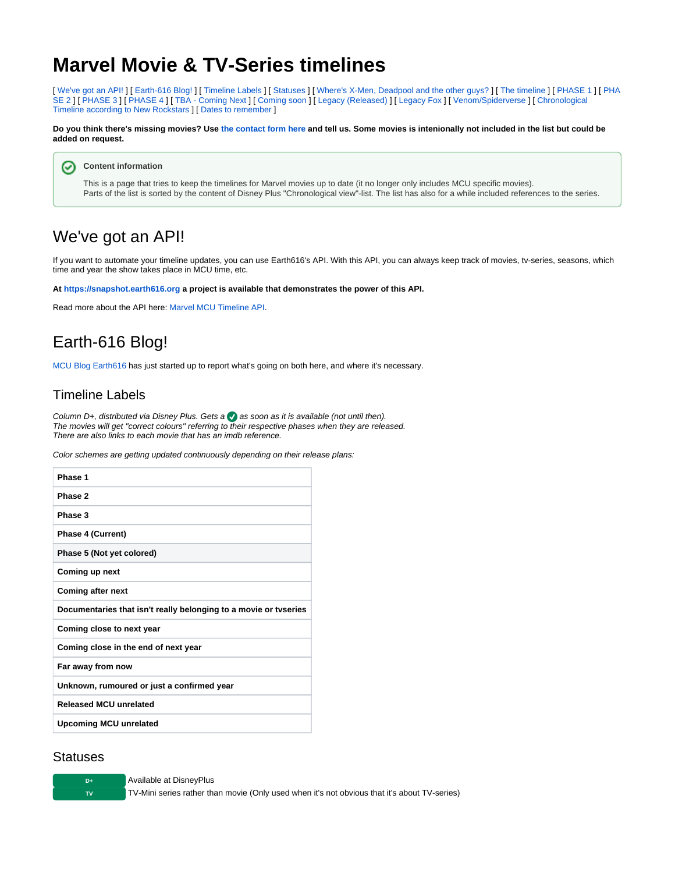## **Marvel Movie & TV-Series timelines**

[ [We've got an API!](#page-0-0) ] [ [Earth-616 Blog!](#page-0-1) ] [ [Timeline Labels](#page-0-2) ] [ [Statuses](#page-0-3) ] [ [Where's X-Men, Deadpool and the other guys?](#page-1-0) ] [ [The timeline](#page-1-1) ] [ [PHASE 1](#page-1-2) ] [ [PHA](#page-1-3) [SE 2](#page-1-3) ] [ [PHASE 3](#page-2-0) ] [ [PHASE 4](#page-3-0) ] [ [TBA - Coming Next](#page-6-0) ] [ [Coming soon](#page-7-0) ] [ [Legacy \(Released\)](#page-7-1) ] [ [Legacy Fox](#page-8-0) ] [ [Venom/Spiderverse](#page-9-0) ] [ Chronological [Timeline according to New Rockstars](#page-9-1) ] [ [Dates to remember](#page-9-2) ]

**Do you think there's missing movies? Use [the contact form here](https://www.earth616.org/contact/) and tell us. Some movies is intenionally not included in the list but could be added on request.**

**Content information** の

> This is a page that tries to keep the timelines for Marvel movies up to date (it no longer only includes MCU specific movies). Parts of the list is sorted by the content of Disney Plus "Chronological view"-list. The list has also for a while included references to the series.

## <span id="page-0-0"></span>We've got an API!

If you want to automate your timeline updates, you can use Earth616's API. With this API, you can always keep track of movies, tv-series, seasons, which time and year the show takes place in MCU time, etc.

**At <https://snapshot.earth616.org> a project is available that demonstrates the power of this API.**

Read more about the API here: [Marvel MCU Timeline API](https://docs.tornevall.net/display/TORNEVALL/Marvel+MCU+Timeline+API).

## <span id="page-0-1"></span>Earth-616 Blog!

[MCU Blog Earth616](https://www.earth616.org) has just started up to report what's going on both here, and where it's necessary.

### <span id="page-0-2"></span>Timeline Labels

Column D+, distributed via Disney Plus. Gets a  $\bullet$  as soon as it is available (not until then). The movies will get "correct colours" referring to their respective phases when they are released. There are also links to each movie that has an imdb reference.

Color schemes are getting updated continuously depending on their release plans:

| Phase 1                                                          |
|------------------------------------------------------------------|
| Phase 2                                                          |
| Phase 3                                                          |
| Phase 4 (Current)                                                |
| Phase 5 (Not yet colored)                                        |
| Coming up next                                                   |
| <b>Coming after next</b>                                         |
|                                                                  |
| Documentaries that isn't really belonging to a movie or tyseries |
| Coming close to next year                                        |
| Coming close in the end of next year                             |
| Far away from now                                                |
| Unknown, rumoured or just a confirmed year                       |
| <b>Released MCU unrelated</b>                                    |

#### <span id="page-0-3"></span>**Statuses**

**D+** Available at DisneyPlus

**TV** TV-Mini series rather than movie (Only used when it's not obvious that it's about TV-series)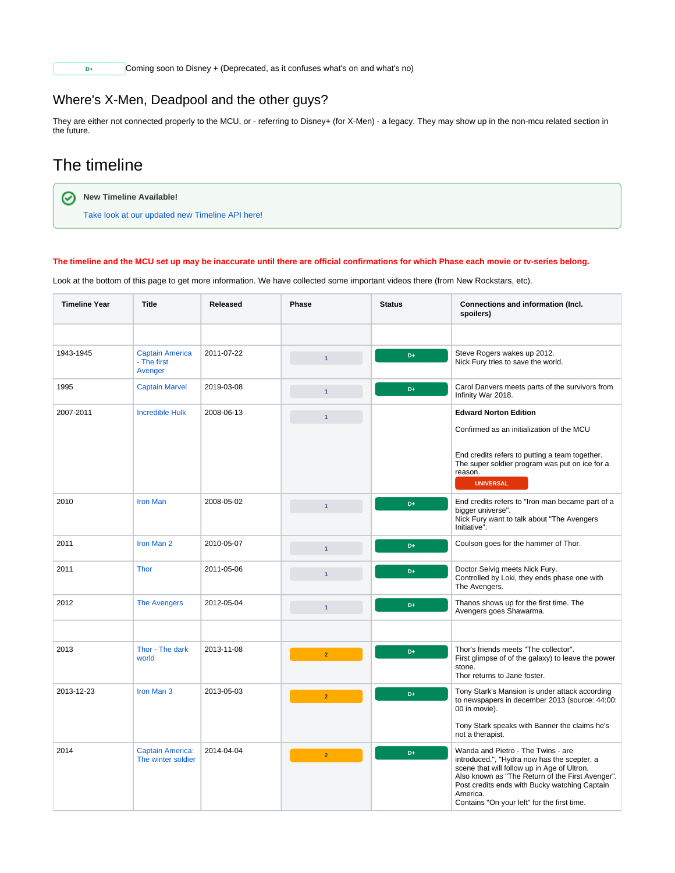**D+** Coming soon to Disney + (Deprecated, as it confuses what's on and what's no)

### <span id="page-1-0"></span>Where's X-Men, Deadpool and the other guys?

They are either not connected properly to the MCU, or - referring to Disney+ (for X-Men) - a legacy. They may show up in the non-mcu related section in the future.

### <span id="page-1-1"></span>The timeline

0

**New Timeline Available!**

[Take look at our updated new Timeline API here!](https://snapshot.earth616.org)

#### **The timeline and the MCU set up may be inaccurate until there are official confirmations for which Phase each movie or tv-series belong.**

Look at the bottom of this page to get more information. We have collected some important videos there (from New Rockstars, etc).

<span id="page-1-3"></span><span id="page-1-2"></span>

| <b>Timeline Year</b> | <b>Title</b>                                     | Released   | Phase          | <b>Status</b> | Connections and information (Incl.<br>spoilers)                                                                                                                                                                                                                                                  |
|----------------------|--------------------------------------------------|------------|----------------|---------------|--------------------------------------------------------------------------------------------------------------------------------------------------------------------------------------------------------------------------------------------------------------------------------------------------|
|                      |                                                  |            |                |               |                                                                                                                                                                                                                                                                                                  |
| 1943-1945            | <b>Captain America</b><br>- The first<br>Avenger | 2011-07-22 | $\mathbf{1}$   | D+            | Steve Rogers wakes up 2012.<br>Nick Fury tries to save the world.                                                                                                                                                                                                                                |
| 1995                 | <b>Captain Marvel</b>                            | 2019-03-08 | $\mathbf{1}$   | D+            | Carol Danvers meets parts of the survivors from<br>Infinity War 2018.                                                                                                                                                                                                                            |
| 2007-2011            | <b>Incredible Hulk</b>                           | 2008-06-13 | $\overline{1}$ |               | <b>Edward Norton Edition</b><br>Confirmed as an initialization of the MCU<br>End credits refers to putting a team together.<br>The super soldier program was put on ice for a<br>reason.                                                                                                         |
|                      |                                                  |            |                |               | <b>UNIVERSAL</b>                                                                                                                                                                                                                                                                                 |
| 2010                 | <b>Iron Man</b>                                  | 2008-05-02 | $\overline{1}$ | D+            | End credits refers to "Iron man became part of a<br>bigger universe".<br>Nick Fury want to talk about "The Avengers"<br>Initiative".                                                                                                                                                             |
| 2011                 | Iron Man 2                                       | 2010-05-07 | $\mathbf{1}$   | D+            | Coulson goes for the hammer of Thor.                                                                                                                                                                                                                                                             |
| 2011                 | <b>Thor</b>                                      | 2011-05-06 |                | D+            | Doctor Selvig meets Nick Fury.<br>Controlled by Loki, they ends phase one with<br>The Avengers.                                                                                                                                                                                                  |
| 2012                 | <b>The Avengers</b>                              | 2012-05-04 | $\mathbf{1}$   | D+            | Thanos shows up for the first time. The<br>Avengers goes Shawarma.                                                                                                                                                                                                                               |
|                      |                                                  |            |                |               |                                                                                                                                                                                                                                                                                                  |
| 2013                 | Thor - The dark<br>world                         | 2013-11-08 | $\overline{2}$ | D+            | Thor's friends meets "The collector".<br>First glimpse of of the galaxy) to leave the power<br>stone.<br>Thor returns to Jane foster.                                                                                                                                                            |
| 2013-12-23           | Iron Man 3                                       | 2013-05-03 | $\overline{2}$ | D+            | Tony Stark's Mansion is under attack according<br>to newspapers in december 2013 (source: 44:00:<br>00 in movie).                                                                                                                                                                                |
|                      |                                                  |            |                |               | Tony Stark speaks with Banner the claims he's<br>not a therapist.                                                                                                                                                                                                                                |
| 2014                 | <b>Captain America:</b><br>The winter soldier    | 2014-04-04 | $\overline{2}$ | D+            | Wanda and Pietro - The Twins - are<br>introduced.", "Hydra now has the scepter, a<br>scene that will follow up in Age of Ultron.<br>Also known as "The Return of the First Avenger".<br>Post credits ends with Bucky watching Captain<br>America.<br>Contains "On your left" for the first time. |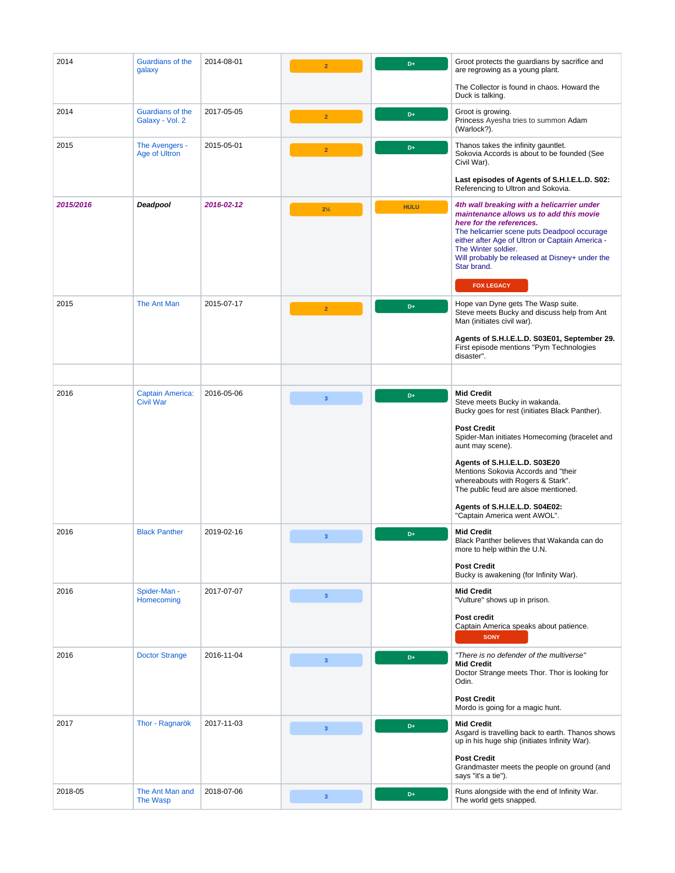<span id="page-2-0"></span>

| 2014      | Guardians of the<br>galaxy                  | 2014-08-01 | $\overline{2}$          | D+          | Groot protects the guardians by sacrifice and<br>are regrowing as a young plant.                                                                                                                                                                                                                                                                                                                                       |
|-----------|---------------------------------------------|------------|-------------------------|-------------|------------------------------------------------------------------------------------------------------------------------------------------------------------------------------------------------------------------------------------------------------------------------------------------------------------------------------------------------------------------------------------------------------------------------|
|           |                                             |            |                         |             | The Collector is found in chaos. Howard the<br>Duck is talking.                                                                                                                                                                                                                                                                                                                                                        |
| 2014      | Guardians of the<br>Galaxy - Vol. 2         | 2017-05-05 | $\overline{2}$          | D+          | Groot is growing.<br>Princess Ayesha tries to summon Adam<br>(Warlock?).                                                                                                                                                                                                                                                                                                                                               |
| 2015      | The Avengers -<br>Age of Ultron             | 2015-05-01 | $\overline{2}$          | D+          | Thanos takes the infinity gauntlet.<br>Sokovia Accords is about to be founded (See<br>Civil War).                                                                                                                                                                                                                                                                                                                      |
|           |                                             |            |                         |             | Last episodes of Agents of S.H.I.E.L.D. S02:<br>Referencing to Ultron and Sokovia.                                                                                                                                                                                                                                                                                                                                     |
| 2015/2016 | Deadpool                                    | 2016-02-12 | $2\frac{1}{2}$          | <b>HULU</b> | 4th wall breaking with a helicarrier under<br>maintenance allows us to add this movie<br>here for the references.<br>The helicarrier scene puts Deadpool occurage<br>either after Age of Ultron or Captain America -<br>The Winter soldier.<br>Will probably be released at Disney+ under the<br>Star brand.<br><b>FOX LEGACY</b>                                                                                      |
| 2015      | The Ant Man                                 | 2015-07-17 | $\overline{2}$          | D+          | Hope van Dyne gets The Wasp suite.<br>Steve meets Bucky and discuss help from Ant<br>Man (initiates civil war).                                                                                                                                                                                                                                                                                                        |
|           |                                             |            |                         |             | Agents of S.H.I.E.L.D. S03E01, September 29.<br>First episode mentions "Pym Technologies<br>disaster".                                                                                                                                                                                                                                                                                                                 |
|           |                                             |            |                         |             |                                                                                                                                                                                                                                                                                                                                                                                                                        |
| 2016      | <b>Captain America:</b><br><b>Civil War</b> | 2016-05-06 | $\overline{\mathbf{3}}$ | D+          | <b>Mid Credit</b><br>Steve meets Bucky in wakanda.<br>Bucky goes for rest (initiates Black Panther).<br><b>Post Credit</b><br>Spider-Man initiates Homecoming (bracelet and<br>aunt may scene).<br>Agents of S.H.I.E.L.D. S03E20<br>Mentions Sokovia Accords and "their<br>whereabouts with Rogers & Stark".<br>The public feud are alsoe mentioned.<br>Agents of S.H.I.E.L.D. S04E02:<br>"Captain America went AWOL". |
| 2016      | <b>Black Panther</b>                        | 2019-02-16 | 3 <sup>2</sup>          | D+          | <b>Mid Credit</b><br>Black Panther believes that Wakanda can do<br>more to help within the U.N.<br><b>Post Credit</b><br>Bucky is awakening (for Infinity War).                                                                                                                                                                                                                                                        |
| 2016      | Spider-Man -<br>Homecoming                  | 2017-07-07 | 3 <sup>7</sup>          |             | <b>Mid Credit</b><br>"Vulture" shows up in prison.<br>Post credit<br>Captain America speaks about patience.<br><b>SONY</b>                                                                                                                                                                                                                                                                                             |
| 2016      | <b>Doctor Strange</b>                       | 2016-11-04 | $\overline{\mathbf{3}}$ | D+          | "There is no defender of the multiverse"<br><b>Mid Credit</b><br>Doctor Strange meets Thor. Thor is looking for<br>Odin.<br><b>Post Credit</b><br>Mordo is going for a magic hunt.                                                                                                                                                                                                                                     |
| 2017      | Thor - Ragnarök                             | 2017-11-03 | 3 <sup>2</sup>          | D+          | <b>Mid Credit</b><br>Asgard is travelling back to earth. Thanos shows<br>up in his huge ship (initiates Infinity War).<br><b>Post Credit</b><br>Grandmaster meets the people on ground (and<br>says "it's a tie").                                                                                                                                                                                                     |
| 2018-05   | The Ant Man and<br>The Wasp                 | 2018-07-06 | 3 <sup>7</sup>          | D+          | Runs alongside with the end of Infinity War.<br>The world gets snapped.                                                                                                                                                                                                                                                                                                                                                |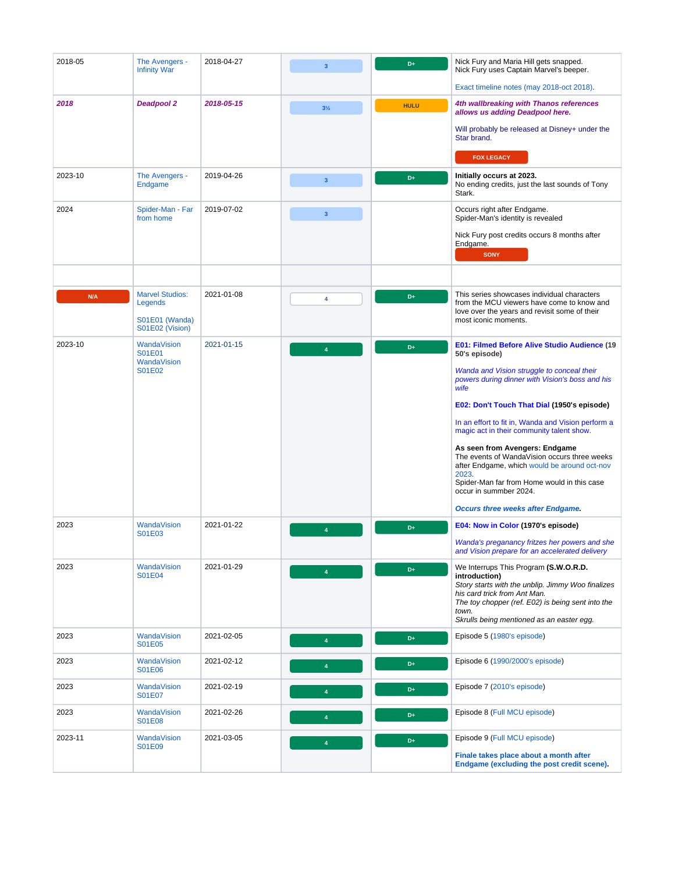<span id="page-3-0"></span>

| 2018-05 | The Avengers -<br><b>Infinity War</b>                                  | 2018-04-27 | 3                       | D+          | Nick Fury and Maria Hill gets snapped.<br>Nick Fury uses Captain Marvel's beeper.                                                                                                                                                                      |
|---------|------------------------------------------------------------------------|------------|-------------------------|-------------|--------------------------------------------------------------------------------------------------------------------------------------------------------------------------------------------------------------------------------------------------------|
|         |                                                                        |            |                         |             | Exact timeline notes (may 2018-oct 2018).                                                                                                                                                                                                              |
| 2018    | <b>Deadpool 2</b>                                                      | 2018-05-15 | $3\frac{1}{2}$          | <b>HULU</b> | 4th wallbreaking with Thanos references<br>allows us adding Deadpool here.                                                                                                                                                                             |
|         |                                                                        |            |                         |             | Will probably be released at Disney+ under the<br>Star brand.                                                                                                                                                                                          |
|         |                                                                        |            |                         |             | <b>FOX LEGACY</b>                                                                                                                                                                                                                                      |
| 2023-10 | The Avengers -<br>Endgame                                              | 2019-04-26 | 3 <sup>2</sup>          | D+          | Initially occurs at 2023.<br>No ending credits, just the last sounds of Tony<br>Stark.                                                                                                                                                                 |
| 2024    | Spider-Man - Far<br>from home                                          | 2019-07-02 | $\overline{\mathbf{3}}$ |             | Occurs right after Endgame.<br>Spider-Man's identity is revealed                                                                                                                                                                                       |
|         |                                                                        |            |                         |             | Nick Fury post credits occurs 8 months after<br>Endgame.<br><b>SONY</b>                                                                                                                                                                                |
|         |                                                                        |            |                         |             |                                                                                                                                                                                                                                                        |
| N/A     | <b>Marvel Studios:</b><br>Legends<br>S01E01 (Wanda)<br>S01E02 (Vision) | 2021-01-08 | 4                       | D+          | This series showcases individual characters<br>from the MCU viewers have come to know and<br>love over the years and revisit some of their<br>most iconic moments.                                                                                     |
| 2023-10 | WandaVision<br>S01E01                                                  | 2021-01-15 | $\overline{4}$          | D+          | E01: Filmed Before Alive Studio Audience (19<br>50's episode)                                                                                                                                                                                          |
|         | WandaVision<br>S01E02                                                  |            |                         |             | Wanda and Vision struggle to conceal their<br>powers during dinner with Vision's boss and his<br>wife                                                                                                                                                  |
|         |                                                                        |            |                         |             | E02: Don't Touch That Dial (1950's episode)                                                                                                                                                                                                            |
|         |                                                                        |            |                         |             | In an effort to fit in, Wanda and Vision perform a<br>magic act in their community talent show.                                                                                                                                                        |
|         |                                                                        |            |                         |             | As seen from Avengers: Endgame<br>The events of WandaVision occurs three weeks<br>after Endgame, which would be around oct-nov<br>2023.<br>Spider-Man far from Home would in this case<br>occur in summber 2024.                                       |
|         |                                                                        |            |                         |             | <b>Occurs three weeks after Endgame.</b>                                                                                                                                                                                                               |
| 2023    | <b>WandaVision</b><br>S01E03                                           | 2021-01-22 | $\overline{4}$          | D+          | E04: Now in Color (1970's episode)                                                                                                                                                                                                                     |
|         |                                                                        |            |                         |             | Wanda's preganancy fritzes her powers and she<br>and Vision prepare for an accelerated delivery                                                                                                                                                        |
| 2023    | WandaVision<br>S01E04                                                  | 2021-01-29 | $\overline{4}$          | D+          | We Interrups This Program (S.W.O.R.D.<br>introduction)<br>Story starts with the unblip. Jimmy Woo finalizes<br>his card trick from Ant Man.<br>The toy chopper (ref. E02) is being sent into the<br>town.<br>Skrulls being mentioned as an easter egg. |
| 2023    | WandaVision<br>S01E05                                                  | 2021-02-05 | $\overline{4}$          | D+          | Episode 5 (1980's episode)                                                                                                                                                                                                                             |
| 2023    | WandaVision<br>S01E06                                                  | 2021-02-12 | 4                       | D+          | Episode 6 (1990/2000's episode)                                                                                                                                                                                                                        |
| 2023    | WandaVision<br>S01E07                                                  | 2021-02-19 | $\overline{4}$          | D+          | Episode 7 (2010's episode)                                                                                                                                                                                                                             |
| 2023    | WandaVision<br>S01E08                                                  | 2021-02-26 | $\overline{4}$          | D+          | Episode 8 (Full MCU episode)                                                                                                                                                                                                                           |
| 2023-11 | WandaVision<br>S01E09                                                  | 2021-03-05 | $\overline{4}$          | D+          | Episode 9 (Full MCU episode)                                                                                                                                                                                                                           |
|         |                                                                        |            |                         |             | Finale takes place about a month after<br>Endgame (excluding the post credit scene).                                                                                                                                                                   |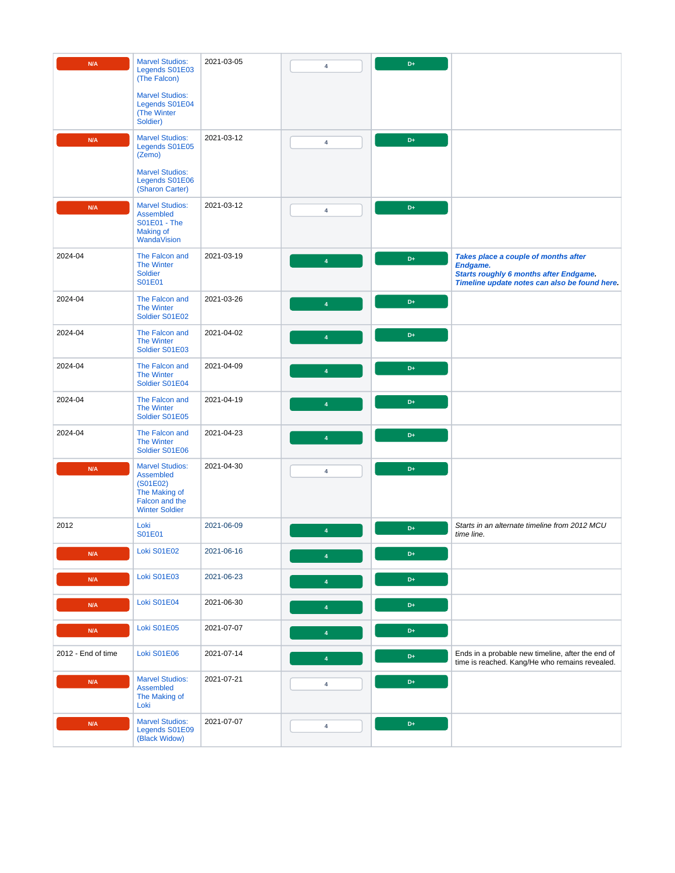| N/A                | <b>Marvel Studios:</b><br>Legends S01E03<br>(The Falcon)                                                    | 2021-03-05 | 4                       | $D+$ |                                                                                                                                                    |
|--------------------|-------------------------------------------------------------------------------------------------------------|------------|-------------------------|------|----------------------------------------------------------------------------------------------------------------------------------------------------|
|                    | <b>Marvel Studios:</b><br>Legends S01E04<br>(The Winter<br>Soldier)                                         |            |                         |      |                                                                                                                                                    |
| N/A                | <b>Marvel Studios:</b><br>Legends S01E05<br>(Zemo)                                                          | 2021-03-12 | $\overline{4}$          | $D+$ |                                                                                                                                                    |
|                    | <b>Marvel Studios:</b><br>Legends S01E06<br>(Sharon Carter)                                                 |            |                         |      |                                                                                                                                                    |
| N/A                | <b>Marvel Studios:</b><br>Assembled<br>S01E01 - The<br><b>Making of</b><br>WandaVision                      | 2021-03-12 | 4                       | $D+$ |                                                                                                                                                    |
| 2024-04            | The Falcon and<br><b>The Winter</b><br><b>Soldier</b><br>S01E01                                             | 2021-03-19 | $\overline{4}$          | $D+$ | Takes place a couple of months after<br>Endgame.<br><b>Starts roughly 6 months after Endgame.</b><br>Timeline update notes can also be found here. |
| 2024-04            | The Falcon and<br><b>The Winter</b><br>Soldier S01E02                                                       | 2021-03-26 | $\Delta$                | $D+$ |                                                                                                                                                    |
| 2024-04            | The Falcon and<br><b>The Winter</b><br>Soldier S01E03                                                       | 2021-04-02 | $\overline{\mathbf{4}}$ | $D+$ |                                                                                                                                                    |
| 2024-04            | The Falcon and<br><b>The Winter</b><br>Soldier S01E04                                                       | 2021-04-09 | $\overline{a}$          | $D+$ |                                                                                                                                                    |
| 2024-04            | The Falcon and<br><b>The Winter</b><br>Soldier S01E05                                                       | 2021-04-19 | $\overline{A}$          | $D+$ |                                                                                                                                                    |
| 2024-04            | The Falcon and<br><b>The Winter</b><br>Soldier S01E06                                                       | 2021-04-23 | $\overline{\mathbf{4}}$ | D+   |                                                                                                                                                    |
| N/A                | <b>Marvel Studios:</b><br>Assembled<br>(S01E02)<br>The Making of<br>Falcon and the<br><b>Winter Soldier</b> | 2021-04-30 | $\overline{4}$          | D+   |                                                                                                                                                    |
| 2012               | Loki<br>S01E01                                                                                              | 2021-06-09 | $\overline{4}$          | D+   | Starts in an alternate timeline from 2012 MCU<br>time line.                                                                                        |
| N/A                | <b>Loki S01E02</b>                                                                                          | 2021-06-16 | $\overline{4}$          | $D+$ |                                                                                                                                                    |
| N/A                | Loki S01E03                                                                                                 | 2021-06-23 | $\overline{4}$          | $D+$ |                                                                                                                                                    |
| N/A                | Loki S01E04                                                                                                 | 2021-06-30 | $\overline{4}$          | $D+$ |                                                                                                                                                    |
| N/A                | Loki S01E05                                                                                                 | 2021-07-07 | $\overline{4}$          | D+   |                                                                                                                                                    |
| 2012 - End of time | Loki S01E06                                                                                                 | 2021-07-14 | $\overline{\mathbf{4}}$ | $D+$ | Ends in a probable new timeline, after the end of<br>time is reached. Kang/He who remains revealed.                                                |
| N/A                | <b>Marvel Studios:</b><br>Assembled<br>The Making of<br>Loki                                                | 2021-07-21 | $\overline{4}$          | $D+$ |                                                                                                                                                    |
| N/A                | <b>Marvel Studios:</b><br>Legends S01E09<br>(Black Widow)                                                   | 2021-07-07 | $\overline{\mathbf{4}}$ | $D+$ |                                                                                                                                                    |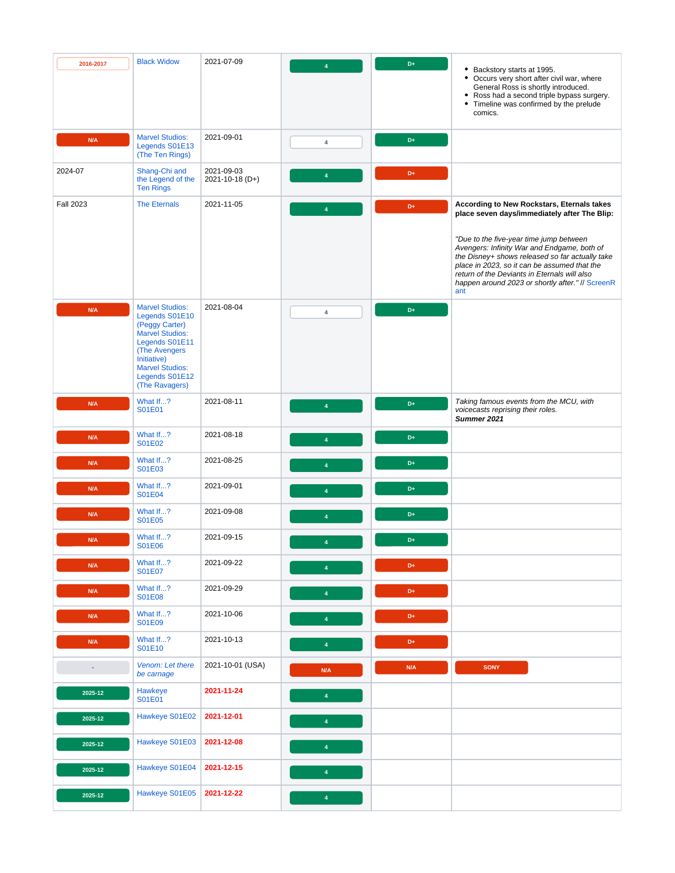| 2016-2017                | <b>Black Widow</b>                                                                                                                                                                                           | 2021-07-09                    |                         | D+  | • Backstory starts at 1995.<br>• Occurs very short after civil war, where<br>General Ross is shortly introduced.<br>• Ross had a second triple bypass surgery.<br>• Timeline was confirmed by the prelude<br>comics.                                                                                                                                                                               |
|--------------------------|--------------------------------------------------------------------------------------------------------------------------------------------------------------------------------------------------------------|-------------------------------|-------------------------|-----|----------------------------------------------------------------------------------------------------------------------------------------------------------------------------------------------------------------------------------------------------------------------------------------------------------------------------------------------------------------------------------------------------|
| N/A                      | <b>Marvel Studios:</b><br>Legends S01E13<br>(The Ten Rings)                                                                                                                                                  | 2021-09-01                    | 4                       | D+  |                                                                                                                                                                                                                                                                                                                                                                                                    |
| 2024-07                  | Shang-Chi and<br>the Legend of the<br><b>Ten Rings</b>                                                                                                                                                       | 2021-09-03<br>2021-10-18 (D+) | $\overline{4}$          | D+  |                                                                                                                                                                                                                                                                                                                                                                                                    |
| <b>Fall 2023</b>         | <b>The Eternals</b>                                                                                                                                                                                          | 2021-11-05                    | $\overline{4}$          | D+  | According to New Rockstars, Eternals takes<br>place seven days/immediately after The Blip:<br>"Due to the five-year time jump between<br>Avengers: Infinity War and Endgame, both of<br>the Disney+ shows released so far actually take<br>place in 2023, so it can be assumed that the<br>return of the Deviants in Eternals will also<br>happen around 2023 or shortly after." // ScreenR<br>ant |
| N/A                      | <b>Marvel Studios:</b><br>Legends S01E10<br>(Peggy Carter)<br><b>Marvel Studios:</b><br>Legends S01E11<br><b>(The Avengers)</b><br>Initiative)<br><b>Marvel Studios:</b><br>Legends S01E12<br>(The Ravagers) | 2021-08-04                    | $\overline{4}$          | D+  |                                                                                                                                                                                                                                                                                                                                                                                                    |
| N/A                      | What If?<br>S01E01                                                                                                                                                                                           | 2021-08-11                    | $\boldsymbol{\Delta}$   | D+  | Taking famous events from the MCU, with<br>voicecasts reprising their roles.<br>Summer 2021                                                                                                                                                                                                                                                                                                        |
| N/A                      | What If?<br>S01E02                                                                                                                                                                                           | 2021-08-18                    | $\overline{4}$          | D+  |                                                                                                                                                                                                                                                                                                                                                                                                    |
| N/A                      | What If?<br>S01E03                                                                                                                                                                                           | 2021-08-25                    | $\overline{4}$          | D+  |                                                                                                                                                                                                                                                                                                                                                                                                    |
| N/A                      | What If?<br>S01E04                                                                                                                                                                                           | 2021-09-01                    | $\overline{4}$          | D+  |                                                                                                                                                                                                                                                                                                                                                                                                    |
| N/A                      | What If?<br><b>S01E05</b>                                                                                                                                                                                    | 2021-09-08                    | $\overline{4}$          | D+  |                                                                                                                                                                                                                                                                                                                                                                                                    |
| N/A                      | What If?<br>S01E06                                                                                                                                                                                           | 2021-09-15                    | 4                       | D+  |                                                                                                                                                                                                                                                                                                                                                                                                    |
| N/A                      | What If?<br><b>S01E07</b>                                                                                                                                                                                    | 2021-09-22                    | $\overline{4}$          | D+  |                                                                                                                                                                                                                                                                                                                                                                                                    |
| N/A                      | What If?<br><b>S01E08</b>                                                                                                                                                                                    | 2021-09-29                    | $\blacklozenge$         | D+  |                                                                                                                                                                                                                                                                                                                                                                                                    |
| N/A                      | What If?<br>S01E09                                                                                                                                                                                           | 2021-10-06                    | $\overline{4}$          | D+  |                                                                                                                                                                                                                                                                                                                                                                                                    |
| N/A                      | What If?<br>S01E10                                                                                                                                                                                           | 2021-10-13                    | $\overline{\mathbf{4}}$ | D+  |                                                                                                                                                                                                                                                                                                                                                                                                    |
| $\overline{\phantom{a}}$ | Venom: Let there<br>be carnage                                                                                                                                                                               | 2021-10-01 (USA)              | N/A                     | N/A | <b>SONY</b>                                                                                                                                                                                                                                                                                                                                                                                        |
| 2025-12                  | <b>Hawkeye</b><br>S01E01                                                                                                                                                                                     | 2021-11-24                    | $\overline{4}$          |     |                                                                                                                                                                                                                                                                                                                                                                                                    |
| 2025-12                  | Hawkeye S01E02                                                                                                                                                                                               | 2021-12-01                    | $\overline{\mathbf{4}}$ |     |                                                                                                                                                                                                                                                                                                                                                                                                    |
| 2025-12                  | Hawkeye S01E03                                                                                                                                                                                               | 2021-12-08                    | $\overline{\mathbf{4}}$ |     |                                                                                                                                                                                                                                                                                                                                                                                                    |
| 2025-12                  | Hawkeye S01E04                                                                                                                                                                                               | 2021-12-15                    | $\overline{\mathbf{4}}$ |     |                                                                                                                                                                                                                                                                                                                                                                                                    |
| 2025-12                  | Hawkeye S01E05                                                                                                                                                                                               | 2021-12-22                    | $\overline{\mathbf{4}}$ |     |                                                                                                                                                                                                                                                                                                                                                                                                    |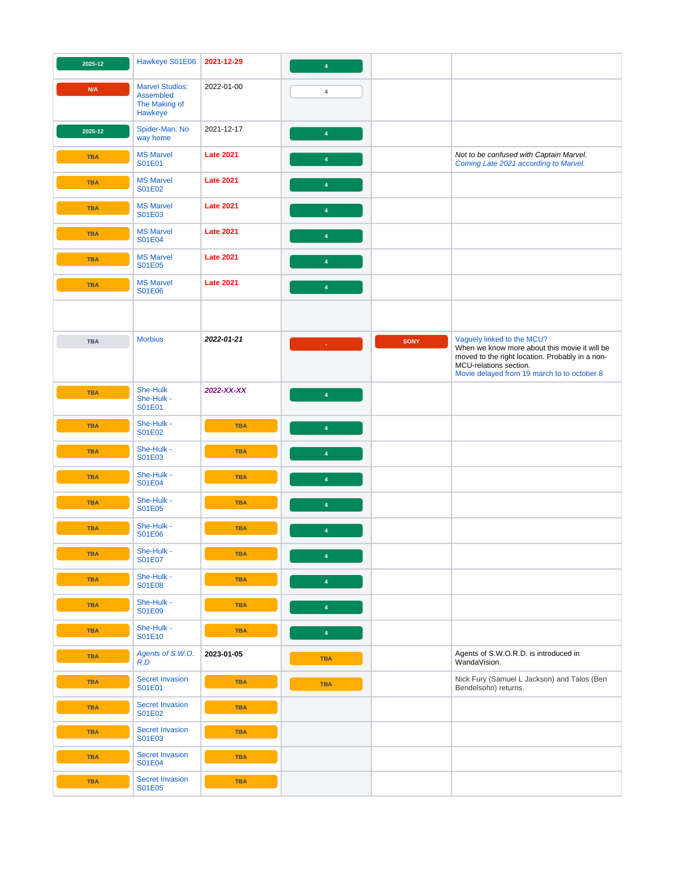<span id="page-6-0"></span>

| 2025-12    | Hawkeye S01E06                                                  | 2021-12-29       | $\overline{4}$          |             |                                                                                                                                                                                                         |
|------------|-----------------------------------------------------------------|------------------|-------------------------|-------------|---------------------------------------------------------------------------------------------------------------------------------------------------------------------------------------------------------|
| N/A        | <b>Marvel Studios:</b><br>Assembled<br>The Making of<br>Hawkeye | 2022-01-00       | $\overline{4}$          |             |                                                                                                                                                                                                         |
| 2025-12    | Spider-Man: No<br>way home                                      | 2021-12-17       | $\overline{\mathbf{4}}$ |             |                                                                                                                                                                                                         |
| <b>TBA</b> | <b>MS Marvel</b><br>S01E01                                      | <b>Late 2021</b> | $\overline{4}$          |             | Not to be confused with Captain Marvel.<br>Coming Late 2021 according to Marvel.                                                                                                                        |
| <b>TBA</b> | <b>MS Marvel</b><br>S01E02                                      | <b>Late 2021</b> | $\overline{\mathbf{4}}$ |             |                                                                                                                                                                                                         |
| <b>TBA</b> | <b>MS Marvel</b><br>S01E03                                      | <b>Late 2021</b> | $\overline{\mathbf{4}}$ |             |                                                                                                                                                                                                         |
| <b>TBA</b> | <b>MS Marvel</b><br>S01E04                                      | <b>Late 2021</b> | ♦                       |             |                                                                                                                                                                                                         |
| <b>TBA</b> | <b>MS Marvel</b><br>S01E05                                      | <b>Late 2021</b> | $\overline{4}$          |             |                                                                                                                                                                                                         |
| <b>TBA</b> | <b>MS Marvel</b><br>S01E06                                      | <b>Late 2021</b> | $\overline{\mathbf{4}}$ |             |                                                                                                                                                                                                         |
|            |                                                                 |                  |                         |             |                                                                                                                                                                                                         |
| <b>TBA</b> | <b>Morbius</b>                                                  | 2022-01-21       | ×.                      | <b>SONY</b> | Vaguely linked to the MCU?<br>When we know more about this movie it will be<br>moved to the right location. Probably in a non-<br>MCU-relations section.<br>Movie delayed from 19 march to to october 8 |
| <b>TBA</b> | She-Hulk<br>She-Hulk -<br>S01E01                                | 2022-XX-XX       | $\overline{4}$          |             |                                                                                                                                                                                                         |
| <b>TBA</b> | She-Hulk -<br>S01E02                                            | <b>TBA</b>       | $\overline{\mathbf{4}}$ |             |                                                                                                                                                                                                         |
| <b>TBA</b> | She-Hulk -<br>S01E03                                            | <b>TBA</b>       | $\overline{4}$          |             |                                                                                                                                                                                                         |
| <b>TBA</b> | She-Hulk -<br><b>S01E04</b>                                     | <b>TBA</b>       | $\overline{4}$          |             |                                                                                                                                                                                                         |
| <b>TBA</b> | She-Hulk -<br>S01E05                                            | <b>TBA</b>       | $\overline{4}$          |             |                                                                                                                                                                                                         |
| <b>TBA</b> | She-Hulk -<br>S01E06                                            | <b>TBA</b>       | $\overline{4}$          |             |                                                                                                                                                                                                         |
| <b>TBA</b> | She-Hulk -<br>S01E07                                            | <b>TBA</b>       | $\overline{\mathbf{4}}$ |             |                                                                                                                                                                                                         |
| <b>TBA</b> | She-Hulk -<br><b>S01E08</b>                                     | <b>TBA</b>       | $\overline{4}$          |             |                                                                                                                                                                                                         |
| <b>TBA</b> | She-Hulk -<br>S01E09                                            | <b>TBA</b>       | $\overline{\mathbf{4}}$ |             |                                                                                                                                                                                                         |
| <b>TBA</b> | She-Hulk -<br>S01E10                                            | <b>TBA</b>       | $\overline{\mathbf{4}}$ |             |                                                                                                                                                                                                         |
| <b>TBA</b> | Agents of S.W.O.<br>R.D                                         | 2023-01-05       | <b>TBA</b>              |             | Agents of S.W.O.R.D. is introduced in<br>WandaVision.                                                                                                                                                   |
| <b>TBA</b> | <b>Secret Invasion</b><br>S01E01                                | <b>TBA</b>       | <b>TBA</b>              |             | Nick Fury (Samuel L Jackson) and Talos (Ben<br>Bendelsohn) returns.                                                                                                                                     |
| <b>TBA</b> | <b>Secret Invasion</b><br>S01E02                                | <b>TBA</b>       |                         |             |                                                                                                                                                                                                         |
| <b>TBA</b> | <b>Secret Invasion</b><br>S01E03                                | <b>TBA</b>       |                         |             |                                                                                                                                                                                                         |
| <b>TBA</b> | <b>Secret Invasion</b><br>S01E04                                | <b>TBA</b>       |                         |             |                                                                                                                                                                                                         |
| <b>TBA</b> | <b>Secret Invasion</b><br>S01E05                                | <b>TBA</b>       |                         |             |                                                                                                                                                                                                         |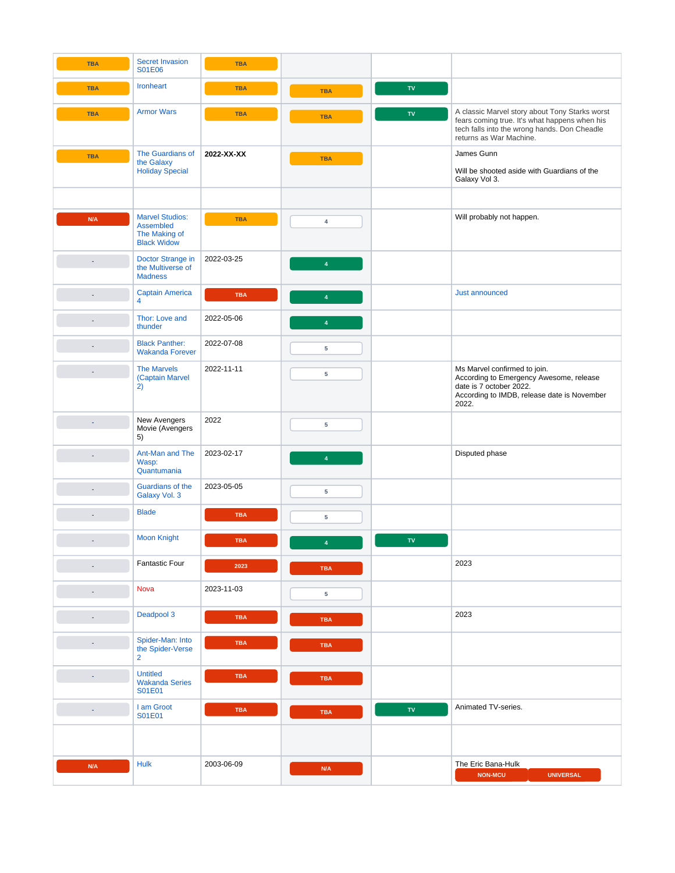<span id="page-7-1"></span><span id="page-7-0"></span>

| <b>TBA</b>               | <b>Secret Invasion</b><br>S01E06                                                  | <b>TBA</b> |                         |                          |                                                                                                                                                                            |
|--------------------------|-----------------------------------------------------------------------------------|------------|-------------------------|--------------------------|----------------------------------------------------------------------------------------------------------------------------------------------------------------------------|
| <b>TBA</b>               | <b>Ironheart</b>                                                                  | <b>TBA</b> | <b>TBA</b>              | ${\bf TV}$               |                                                                                                                                                                            |
| <b>TBA</b>               | <b>Armor Wars</b>                                                                 | <b>TBA</b> | <b>TBA</b>              | ${\bf TV}$               | A classic Marvel story about Tony Starks worst<br>fears coming true. It's what happens when his<br>tech falls into the wrong hands. Don Cheadle<br>returns as War Machine. |
| <b>TBA</b>               | The Guardians of<br>the Galaxy<br><b>Holiday Special</b>                          | 2022-XX-XX | <b>TBA</b>              |                          | James Gunn<br>Will be shooted aside with Guardians of the<br>Galaxy Vol 3.                                                                                                 |
| N/A                      | <b>Marvel Studios:</b><br><b>Assembled</b><br>The Making of<br><b>Black Widow</b> | <b>TBA</b> | $\overline{4}$          |                          | Will probably not happen.                                                                                                                                                  |
|                          | Doctor Strange in<br>the Multiverse of<br><b>Madness</b>                          | 2022-03-25 | 4                       |                          |                                                                                                                                                                            |
| ÷,                       | <b>Captain America</b><br>$\overline{4}$                                          | <b>TBA</b> | $\overline{4}$          |                          | Just announced                                                                                                                                                             |
| ٠                        | Thor: Love and<br>thunder                                                         | 2022-05-06 | $\overline{\mathbf{4}}$ |                          |                                                                                                                                                                            |
| ٠                        | <b>Black Panther:</b><br><b>Wakanda Forever</b>                                   | 2022-07-08 | 5                       |                          |                                                                                                                                                                            |
|                          | <b>The Marvels</b><br>(Captain Marvel<br>2)                                       | 2022-11-11 | 5                       |                          | Ms Marvel confirmed to join.<br>According to Emergency Awesome, release<br>date is 7 october 2022.<br>According to IMDB, release date is November<br>2022.                 |
|                          | New Avengers<br>Movie (Avengers<br>5)                                             | 2022       | 5                       |                          |                                                                                                                                                                            |
|                          | Ant-Man and The<br>Wasp:<br>Quantumania                                           | 2023-02-17 | $\overline{4}$          |                          | Disputed phase                                                                                                                                                             |
|                          | Guardians of the<br>Galaxy Vol. 3                                                 | 2023-05-05 | 5                       |                          |                                                                                                                                                                            |
|                          | <b>Blade</b>                                                                      | <b>TBA</b> | 5                       |                          |                                                                                                                                                                            |
|                          | <b>Moon Knight</b>                                                                | <b>TBA</b> | $\overline{4}$          | ${\mathsf T}{\mathsf V}$ |                                                                                                                                                                            |
| $\sim$                   | <b>Fantastic Four</b>                                                             | 2023       | <b>TBA</b>              |                          | 2023                                                                                                                                                                       |
| ÷                        | <b>Nova</b>                                                                       | 2023-11-03 | 5                       |                          |                                                                                                                                                                            |
| ٠                        | Deadpool 3                                                                        | <b>TBA</b> | <b>TBA</b>              |                          | 2023                                                                                                                                                                       |
| ÷                        | Spider-Man: Into<br>the Spider-Verse<br>$\overline{2}$                            | <b>TBA</b> | <b>TBA</b>              |                          |                                                                                                                                                                            |
|                          | <b>Untitled</b><br><b>Wakanda Series</b><br>S01E01                                | <b>TBA</b> | <b>TBA</b>              |                          |                                                                                                                                                                            |
| $\overline{\phantom{a}}$ | I am Groot<br>S01E01                                                              | <b>TBA</b> | <b>TBA</b>              | $\mathsf{TV}$            | Animated TV-series.                                                                                                                                                        |
|                          |                                                                                   |            |                         |                          |                                                                                                                                                                            |
| N/A                      | <b>Hulk</b>                                                                       | 2003-06-09 | N/A                     |                          | The Eric Bana-Hulk<br><b>NON-MCU</b><br><b>UNIVERSAL</b>                                                                                                                   |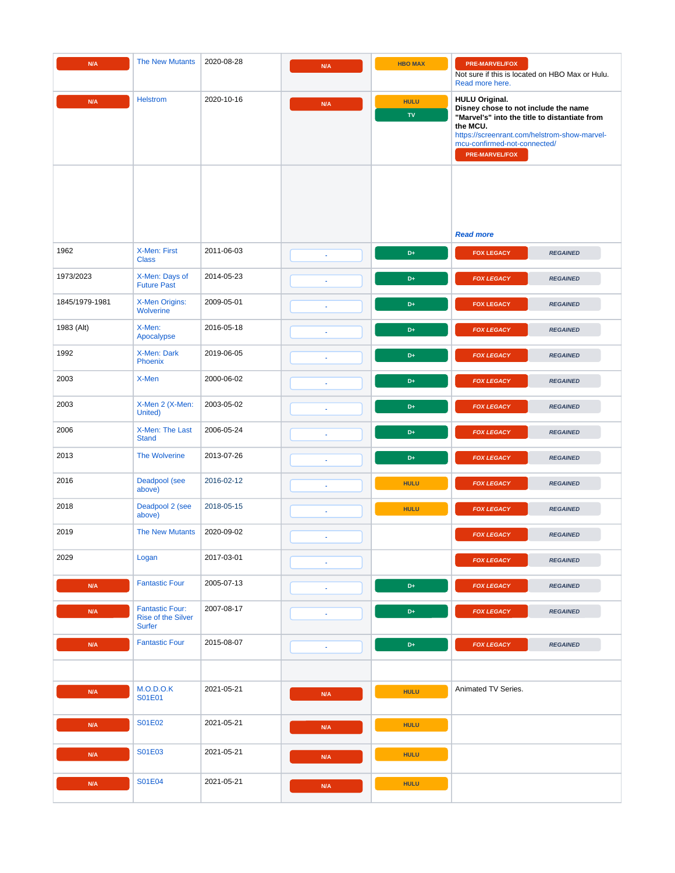<span id="page-8-0"></span>

| N/A            | <b>The New Mutants</b>                                        | 2020-08-28 | N/A                      | <b>HBO MAX</b>            | <b>PRE-MARVEL/FOX</b><br>Not sure if this is located on HBO Max or Hulu.<br>Read more here.                                                                                                                                         |
|----------------|---------------------------------------------------------------|------------|--------------------------|---------------------------|-------------------------------------------------------------------------------------------------------------------------------------------------------------------------------------------------------------------------------------|
| N/A            | <b>Helstrom</b>                                               | 2020-10-16 | N/A                      | <b>HULU</b><br>${\bf TV}$ | <b>HULU Original.</b><br>Disney chose to not include the name<br>"Marvel's" into the title to distantiate from<br>the MCU.<br>https://screenrant.com/helstrom-show-marvel-<br>mcu-confirmed-not-connected/<br><b>PRE-MARVEL/FOX</b> |
|                |                                                               |            |                          |                           | <b>Read more</b>                                                                                                                                                                                                                    |
| 1962           | X-Men: First<br><b>Class</b>                                  | 2011-06-03 | ×.                       | $D+$                      | <b>FOX LEGACY</b><br><b>REGAINED</b>                                                                                                                                                                                                |
| 1973/2023      | X-Men: Days of<br><b>Future Past</b>                          | 2014-05-23 | ×.                       | D+                        | <b>FOX LEGACY</b><br><b>REGAINED</b>                                                                                                                                                                                                |
| 1845/1979-1981 | X-Men Origins:<br>Wolverine                                   | 2009-05-01 | ٠                        | D+                        | <b>FOX LEGACY</b><br><b>REGAINED</b>                                                                                                                                                                                                |
| 1983 (Alt)     | X-Men:<br>Apocalypse                                          | 2016-05-18 | $\sim$                   | $D+$                      | <b>FOX LEGACY</b><br><b>REGAINED</b>                                                                                                                                                                                                |
| 1992           | X-Men: Dark<br><b>Phoenix</b>                                 | 2019-06-05 | $\sim$                   | $D+$                      | <b>FOX LEGACY</b><br><b>REGAINED</b>                                                                                                                                                                                                |
| 2003           | X-Men                                                         | 2000-06-02 |                          | $D+$                      | <b>FOX LEGACY</b><br><b>REGAINED</b>                                                                                                                                                                                                |
| 2003           | X-Men 2 (X-Men:<br>United)                                    | 2003-05-02 |                          | $D+$                      | <b>FOX LEGACY</b><br><b>REGAINED</b>                                                                                                                                                                                                |
| 2006           | X-Men: The Last<br><b>Stand</b>                               | 2006-05-24 |                          | D <sub>+</sub>            | <b>FOX LEGACY</b><br><b>REGAINED</b>                                                                                                                                                                                                |
| 2013           | <b>The Wolverine</b>                                          | 2013-07-26 |                          | $D+$                      | <b>FOX LEGACY</b><br><b>REGAINED</b>                                                                                                                                                                                                |
| 2016           | Deadpool (see<br>above)                                       | 2016-02-12 | $\sim$                   | <b>HULU</b>               | <b>FOX LEGACY</b><br><b>REGAINED</b>                                                                                                                                                                                                |
| 2018           | Deadpool 2 (see<br>above)                                     | 2018-05-15 |                          | <b>HULU</b>               | <b>FOX LEGACY</b><br><b>REGAINED</b>                                                                                                                                                                                                |
| 2019           | <b>The New Mutants</b>                                        | 2020-09-02 |                          |                           | <b>FOX LEGACY</b><br><b>REGAINED</b>                                                                                                                                                                                                |
| 2029           | Logan                                                         | 2017-03-01 | $\omega$                 |                           | <b>FOX LEGACY</b><br><b>REGAINED</b>                                                                                                                                                                                                |
| N/A            | <b>Fantastic Four</b>                                         | 2005-07-13 |                          | $\mathsf{D}+$             | <b>FOX LEGACY</b><br><b>REGAINED</b>                                                                                                                                                                                                |
| N/A            | <b>Fantastic Four:</b><br>Rise of the Silver<br><b>Surfer</b> | 2007-08-17 |                          | $\mathsf{D}+$             | <b>FOX LEGACY</b><br><b>REGAINED</b>                                                                                                                                                                                                |
| N/A            | <b>Fantastic Four</b>                                         | 2015-08-07 | $\overline{\phantom{a}}$ | $\mathsf{D}+$             | <b>FOX LEGACY</b><br><b>REGAINED</b>                                                                                                                                                                                                |
|                |                                                               |            |                          |                           |                                                                                                                                                                                                                                     |
| N/A            | M.O.D.O.K<br>S01E01                                           | 2021-05-21 | N/A                      | <b>HULU</b>               | Animated TV Series.                                                                                                                                                                                                                 |
| N/A            | S01E02                                                        | 2021-05-21 | N/A                      | <b>HULU</b>               |                                                                                                                                                                                                                                     |
| N/A            | S01E03                                                        | 2021-05-21 | N/A                      | <b>HULU</b>               |                                                                                                                                                                                                                                     |
| N/A            | S01E04                                                        | 2021-05-21 | N/A                      | <b>HULU</b>               |                                                                                                                                                                                                                                     |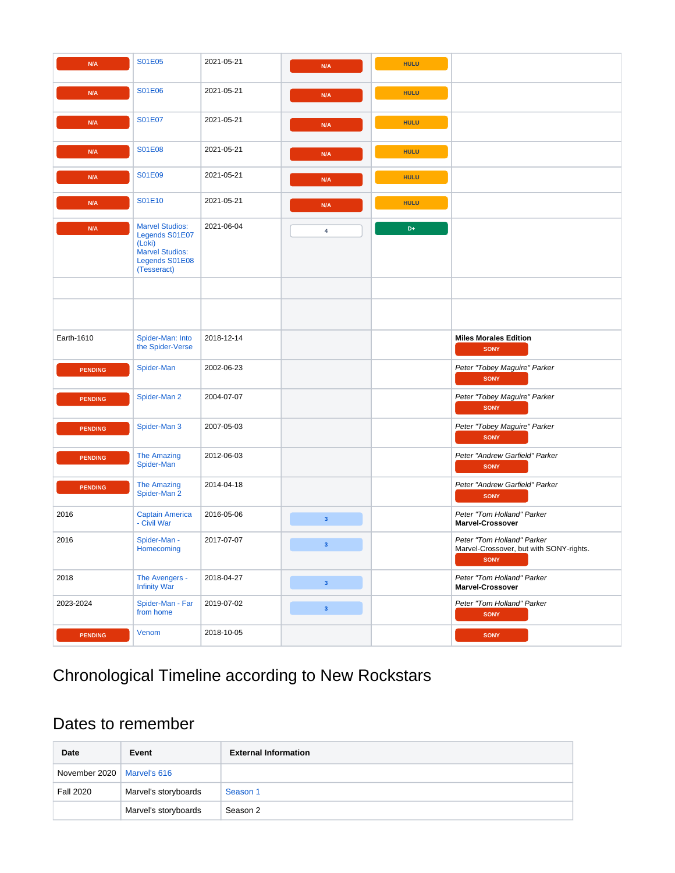<span id="page-9-0"></span>

| N/A            | S01E05                                                                                                        | 2021-05-21 | N/A                     | <b>HULU</b> |                                                                                      |
|----------------|---------------------------------------------------------------------------------------------------------------|------------|-------------------------|-------------|--------------------------------------------------------------------------------------|
| N/A            | S01E06                                                                                                        | 2021-05-21 | N/A                     | <b>HULU</b> |                                                                                      |
| N/A            | S01E07                                                                                                        | 2021-05-21 | N/A                     | <b>HULU</b> |                                                                                      |
| N/A            | S01E08                                                                                                        | 2021-05-21 | N/A                     | <b>HULU</b> |                                                                                      |
| N/A            | S01E09                                                                                                        | 2021-05-21 | N/A                     | <b>HULU</b> |                                                                                      |
| N/A            | S01E10                                                                                                        | 2021-05-21 | N/A                     | <b>HULU</b> |                                                                                      |
| N/A            | <b>Marvel Studios:</b><br>Legends S01E07<br>(Loki)<br><b>Marvel Studios:</b><br>Legends S01E08<br>(Tesseract) | 2021-06-04 | 4                       | $D+$        |                                                                                      |
|                |                                                                                                               |            |                         |             |                                                                                      |
|                |                                                                                                               |            |                         |             |                                                                                      |
| Earth-1610     | Spider-Man: Into<br>the Spider-Verse                                                                          | 2018-12-14 |                         |             | <b>Miles Morales Edition</b><br><b>SONY</b>                                          |
| <b>PENDING</b> | Spider-Man                                                                                                    | 2002-06-23 |                         |             | Peter "Tobey Maguire" Parker<br><b>SONY</b>                                          |
| <b>PENDING</b> | Spider-Man 2                                                                                                  | 2004-07-07 |                         |             | Peter "Tobey Maguire" Parker<br><b>SONY</b>                                          |
| <b>PENDING</b> | Spider-Man 3                                                                                                  | 2007-05-03 |                         |             | Peter "Tobey Maguire" Parker<br><b>SONY</b>                                          |
| <b>PENDING</b> | <b>The Amazing</b><br>Spider-Man                                                                              | 2012-06-03 |                         |             | Peter "Andrew Garfield" Parker<br><b>SONY</b>                                        |
| <b>PENDING</b> | <b>The Amazing</b><br>Spider-Man 2                                                                            | 2014-04-18 |                         |             | Peter "Andrew Garfield" Parker<br><b>SONY</b>                                        |
| 2016           | Captain America<br>- Civil War                                                                                | 2016-05-06 | $\overline{\mathbf{3}}$ |             | Peter "Tom Holland" Parker<br><b>Marvel-Crossover</b>                                |
| 2016           | Spider-Man -<br><b>Homecoming</b>                                                                             | 2017-07-07 | $\mathbf{3}$            |             | Peter "Tom Holland" Parker<br>Marvel-Crossover, but with SONY-rights.<br><b>SONY</b> |
| 2018           | The Avengers -<br><b>Infinity War</b>                                                                         | 2018-04-27 | 3 <sup>7</sup>          |             | Peter "Tom Holland" Parker<br><b>Marvel-Crossover</b>                                |
| 2023-2024      | Spider-Man - Far<br>from home                                                                                 | 2019-07-02 | 3 <sup>7</sup>          |             | Peter "Tom Holland" Parker<br><b>SONY</b>                                            |
| <b>PENDING</b> | Venom                                                                                                         | 2018-10-05 |                         |             | <b>SONY</b>                                                                          |

# <span id="page-9-1"></span>Chronological Timeline according to New Rockstars

## <span id="page-9-2"></span>Dates to remember

| Date                         | Event                | <b>External Information</b> |
|------------------------------|----------------------|-----------------------------|
| November 2020   Marvel's 616 |                      |                             |
| <b>Fall 2020</b>             | Marvel's storyboards | Season 1                    |
|                              | Marvel's storyboards | Season 2                    |